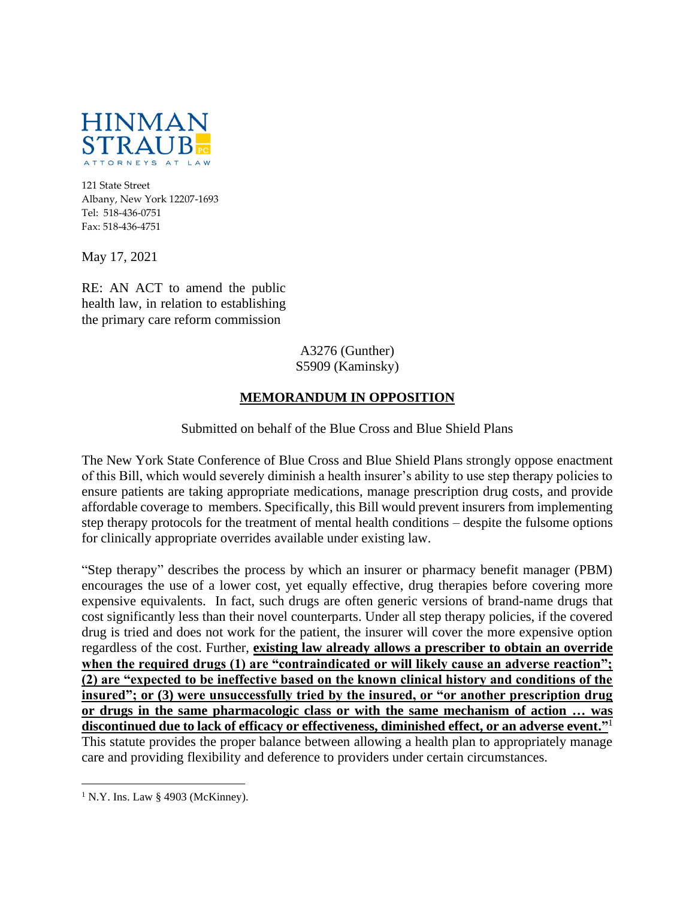

121 State Street Albany, New York 12207-1693 Tel: 518-436-0751 Fax: 518-436-4751

May 17, 2021

RE: AN ACT to amend the public health law, in relation to establishing the primary care reform commission

> A3276 (Gunther) S5909 (Kaminsky)

## **MEMORANDUM IN OPPOSITION**

Submitted on behalf of the Blue Cross and Blue Shield Plans

The New York State Conference of Blue Cross and Blue Shield Plans strongly oppose enactment of this Bill, which would severely diminish a health insurer's ability to use step therapy policies to ensure patients are taking appropriate medications, manage prescription drug costs, and provide affordable coverage to members. Specifically, this Bill would prevent insurers from implementing step therapy protocols for the treatment of mental health conditions – despite the fulsome options for clinically appropriate overrides available under existing law.

"Step therapy" describes the process by which an insurer or pharmacy benefit manager (PBM) encourages the use of a lower cost, yet equally effective, drug therapies before covering more expensive equivalents. In fact, such drugs are often generic versions of brand-name drugs that cost significantly less than their novel counterparts. Under all step therapy policies, if the covered drug is tried and does not work for the patient, the insurer will cover the more expensive option regardless of the cost. Further, **existing law already allows a prescriber to obtain an override**  when the required drugs (1) are "contraindicated or will likely cause an adverse reaction"; **(2) are "expected to be ineffective based on the known clinical history and conditions of the insured"; or (3) were unsuccessfully tried by the insured, or "or another prescription drug or drugs in the same pharmacologic class or with the same mechanism of action … was discontinued due to lack of efficacy or effectiveness, diminished effect, or an adverse event."**<sup>1</sup> This statute provides the proper balance between allowing a health plan to appropriately manage care and providing flexibility and deference to providers under certain circumstances.

 $1$  N.Y. Ins. Law § 4903 (McKinney).